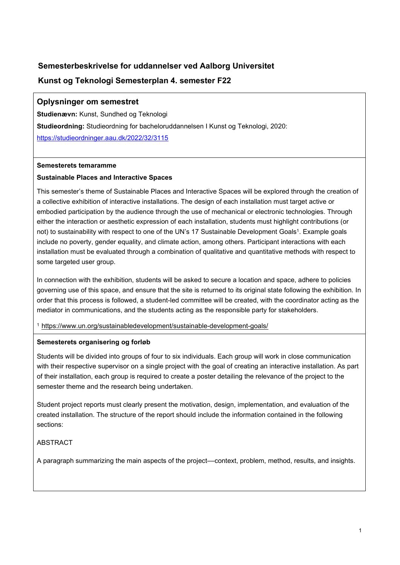# **Semesterbeskrivelse for uddannelser ved Aalborg Universitet Kunst og Teknologi Semesterplan 4. semester F22**

# **Oplysninger om semestret**

**Studienævn:** Kunst, Sundhed og Teknologi **Studieordning:** Studieordning for bacheloruddannelsen I Kunst og Teknologi, 2020: <https://studieordninger.aau.dk/2022/32/3115>

### **Semesterets temaramme**

## **Sustainable Places and Interactive Spaces**

This semester's theme of Sustainable Places and Interactive Spaces will be explored through the creation of a collective exhibition of interactive installations. The design of each installation must target active or embodied participation by the audience through the use of mechanical or electronic technologies. Through either the interaction or aesthetic expression of each installation, students must highlight contributions (or not) to sustainability with respect to one of the UN's 17 Sustainable Development Goals<sup>1</sup>. Example goals include no poverty, gender equality, and climate action, among others. Participant interactions with each installation must be evaluated through a combination of qualitative and quantitative methods with respect to some targeted user group.

In connection with the exhibition, students will be asked to secure a location and space, adhere to policies governing use of this space, and ensure that the site is returned to its original state following the exhibition. In order that this process is followed, a student-led committee will be created, with the coordinator acting as the mediator in communications, and the students acting as the responsible party for stakeholders.

<sup>1</sup> <https://www.un.org/sustainabledevelopment/sustainable-development-goals/>

## **Semesterets organisering og forløb**

Students will be divided into groups of four to six individuals. Each group will work in close communication with their respective supervisor on a single project with the goal of creating an interactive installation. As part of their installation, each group is required to create a poster detailing the relevance of the project to the semester theme and the research being undertaken.

Student project reports must clearly present the motivation, design, implementation, and evaluation of the created installation. The structure of the report should include the information contained in the following sections:

## ABSTRACT

A paragraph summarizing the main aspects of the project––context, problem, method, results, and insights.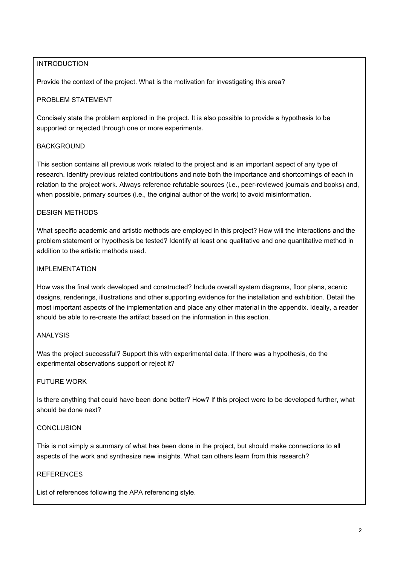# INTRODUCTION

Provide the context of the project. What is the motivation for investigating this area?

# PROBLEM STATEMENT

Concisely state the problem explored in the project. It is also possible to provide a hypothesis to be supported or rejected through one or more experiments.

## **BACKGROUND**

This section contains all previous work related to the project and is an important aspect of any type of research. Identify previous related contributions and note both the importance and shortcomings of each in relation to the project work. Always reference refutable sources (i.e., peer-reviewed journals and books) and, when possible, primary sources (i.e., the original author of the work) to avoid misinformation.

### DESIGN METHODS

What specific academic and artistic methods are employed in this project? How will the interactions and the problem statement or hypothesis be tested? Identify at least one qualitative and one quantitative method in addition to the artistic methods used.

### IMPI EMENTATION

How was the final work developed and constructed? Include overall system diagrams, floor plans, scenic designs, renderings, illustrations and other supporting evidence for the installation and exhibition. Detail the most important aspects of the implementation and place any other material in the appendix. Ideally, a reader should be able to re-create the artifact based on the information in this section.

### ANALYSIS

Was the project successful? Support this with experimental data. If there was a hypothesis, do the experimental observations support or reject it?

### FUTURE WORK

Is there anything that could have been done better? How? If this project were to be developed further, what should be done next?

### **CONCLUSION**

This is not simply a summary of what has been done in the project, but should make connections to all aspects of the work and synthesize new insights. What can others learn from this research?

### **REFERENCES**

List of references following the APA referencing style.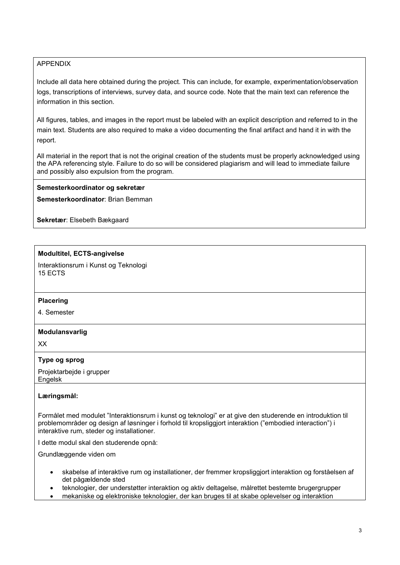## APPENDIX

Include all data here obtained during the project. This can include, for example, experimentation/observation logs, transcriptions of interviews, survey data, and source code. Note that the main text can reference the information in this section.

All figures, tables, and images in the report must be labeled with an explicit description and referred to in the main text. Students are also required to make a video documenting the final artifact and hand it in with the report.

All material in the report that is not the original creation of the students must be properly acknowledged using the APA referencing style. Failure to do so will be considered plagiarism and will lead to immediate failure and possibly also expulsion from the program.

### **Semesterkoordinator og sekretær**

**Semesterkoordinator**: Brian Bemman

**Sekretær**: Elsebeth Bækgaard

### **Modultitel, ECTS-angivelse**

Interaktionsrum i Kunst og Teknologi 15 ECTS

### **Placering**

4. Semester

### **Modulansvarlig**

XX

### **Type og sprog**

Projektarbejde i grupper Engelsk

### **Læringsmål:**

Formålet med modulet "Interaktionsrum i kunst og teknologi" er at give den studerende en introduktion til problemområder og design af løsninger i forhold til kropsliggjort interaktion ("embodied interaction") i interaktive rum, steder og installationer.

I dette modul skal den studerende opnå:

Grundlæggende viden om

- skabelse af interaktive rum og installationer, der fremmer kropsliggjort interaktion og forståelsen af det pågældende sted
- teknologier, der understøtter interaktion og aktiv deltagelse, målrettet bestemte brugergrupper
- mekaniske og elektroniske teknologier, der kan bruges til at skabe oplevelser og interaktion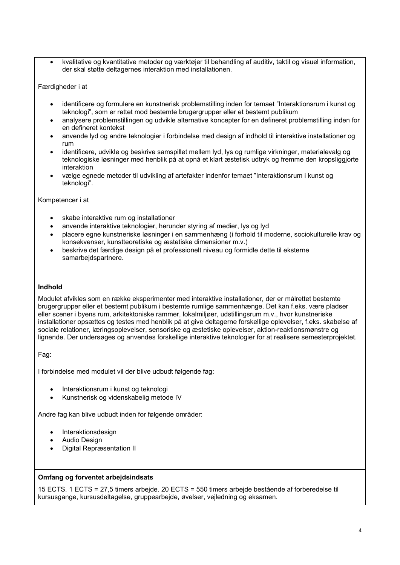• kvalitative og kvantitative metoder og værktøjer til behandling af auditiv, taktil og visuel information, der skal støtte deltagernes interaktion med installationen.

#### Færdigheder i at

- identificere og formulere en kunstnerisk problemstilling inden for temaet "Interaktionsrum i kunst og teknologi", som er rettet mod bestemte brugergrupper eller et bestemt publikum
- analysere problemstillingen og udvikle alternative koncepter for en defineret problemstilling inden for en defineret kontekst
- anvende lyd og andre teknologier i forbindelse med design af indhold til interaktive installationer og rum
- identificere, udvikle og beskrive samspillet mellem lyd, lys og rumlige virkninger, materialevalg og teknologiske løsninger med henblik på at opnå et klart æstetisk udtryk og fremme den kropsliggjorte interaktion
- vælge egnede metoder til udvikling af artefakter indenfor temaet "Interaktionsrum i kunst og teknologi".

#### Kompetencer i at

- skabe interaktive rum og installationer
- anvende interaktive teknologier, herunder styring af medier, lys og lyd
- placere egne kunstneriske løsninger i en sammenhæng (i forhold til moderne, sociokulturelle krav og konsekvenser, kunstteoretiske og æstetiske dimensioner m.v.)
- beskrive det færdige design på et professionelt niveau og formidle dette til eksterne samarbejdspartnere.

#### **Indhold**

Modulet afvikles som en række eksperimenter med interaktive installationer, der er målrettet bestemte brugergrupper eller et bestemt publikum i bestemte rumlige sammenhænge. Det kan f.eks. være pladser eller scener i byens rum, arkitektoniske rammer, lokalmiljøer, udstillingsrum m.v., hvor kunstneriske installationer opsættes og testes med henblik på at give deltagerne forskellige oplevelser, f.eks. skabelse af sociale relationer, læringsoplevelser, sensoriske og æstetiske oplevelser, aktion-reaktionsmønstre og lignende. Der undersøges og anvendes forskellige interaktive teknologier for at realisere semesterprojektet.

Fag:

I forbindelse med modulet vil der blive udbudt følgende fag:

- Interaktionsrum i kunst og teknologi
- Kunstnerisk og videnskabelig metode IV

Andre fag kan blive udbudt inden for følgende områder:

- **Interaktionsdesign**
- Audio Design
- Digital Repræsentation II

### **Omfang og forventet arbejdsindsats**

15 ECTS. 1 ECTS = 27,5 timers arbejde. 20 ECTS = 550 timers arbejde bestående af forberedelse til kursusgange, kursusdeltagelse, gruppearbejde, øvelser, vejledning og eksamen.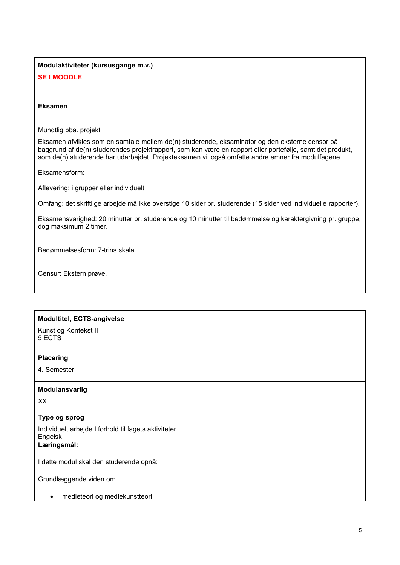# **Modulaktiviteter (kursusgange m.v.) SE I MOODLE**

### **Eksamen**

Mundtlig pba. projekt

Eksamen afvikles som en samtale mellem de(n) studerende, eksaminator og den eksterne censor på baggrund af de(n) studerendes projektrapport, som kan være en rapport eller portefølje, samt det produkt, som de(n) studerende har udarbejdet. Projekteksamen vil også omfatte andre emner fra modulfagene.

Eksamensform:

Aflevering: i grupper eller individuelt

Omfang: det skriftlige arbejde må ikke overstige 10 sider pr. studerende (15 sider ved individuelle rapporter).

Eksamensvarighed: 20 minutter pr. studerende og 10 minutter til bedømmelse og karaktergivning pr. gruppe, dog maksimum 2 timer.

Bedømmelsesform: 7-trins skala

Censur: Ekstern prøve.

# **Modultitel, ECTS-angivelse**

Kunst og Kontekst II 5 ECTS

#### **Placering**

4. Semester

### **Modulansvarlig**

XX

### **Type og sprog**

Individuelt arbejde I forhold til fagets aktiviteter

Engelsk

**Læringsmål:** 

I dette modul skal den studerende opnå:

Grundlæggende viden om

• medieteori og mediekunstteori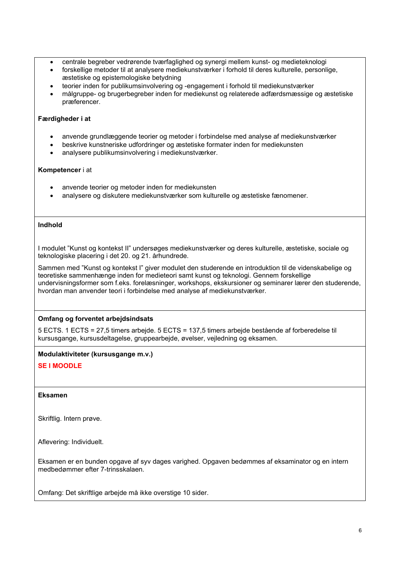- centrale begreber vedrørende tværfaglighed og synergi mellem kunst- og medieteknologi
- forskellige metoder til at analysere mediekunstværker i forhold til deres kulturelle, personlige, æstetiske og epistemologiske betydning
- teorier inden for publikumsinvolvering og -engagement i forhold til mediekunstværker
- målgruppe- og brugerbegreber inden for mediekunst og relaterede adfærdsmæssige og æstetiske præferencer.

### **Færdigheder i at**

- anvende grundlæggende teorier og metoder i forbindelse med analyse af mediekunstværker
- beskrive kunstneriske udfordringer og æstetiske formater inden for mediekunsten
- analysere publikumsinvolvering i mediekunstværker.

#### **Kompetencer** i at

- anvende teorier og metoder inden for mediekunsten
- analysere og diskutere mediekunstværker som kulturelle og æstetiske fænomener.

#### **Indhold**

I modulet "Kunst og kontekst II" undersøges mediekunstværker og deres kulturelle, æstetiske, sociale og teknologiske placering i det 20. og 21. århundrede.

Sammen med "Kunst og kontekst I" giver modulet den studerende en introduktion til de videnskabelige og teoretiske sammenhænge inden for medieteori samt kunst og teknologi. Gennem forskellige undervisningsformer som f.eks. forelæsninger, workshops, ekskursioner og seminarer lærer den studerende, hvordan man anvender teori i forbindelse med analyse af mediekunstværker.

### **Omfang og forventet arbejdsindsats**

5 ECTS. 1 ECTS = 27,5 timers arbejde. 5 ECTS = 137,5 timers arbejde bestående af forberedelse til kursusgange, kursusdeltagelse, gruppearbejde, øvelser, vejledning og eksamen.

#### **Modulaktiviteter (kursusgange m.v.)**

### **SE I MOODLE**

#### **Eksamen**

Skriftlig. Intern prøve.

Aflevering: Individuelt.

Eksamen er en bunden opgave af syv dages varighed. Opgaven bedømmes af eksaminator og en intern medbedømmer efter 7-trinsskalaen.

Omfang: Det skriftlige arbejde må ikke overstige 10 sider.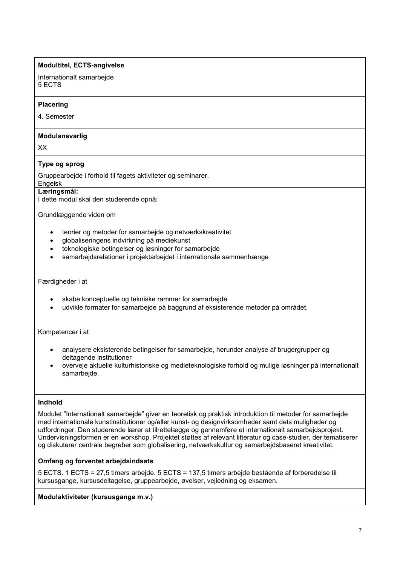## **Modultitel, ECTS-angivelse**

Internationalt samarbejde 5 ECTS

### **Placering**

4. Semester

### **Modulansvarlig**

XX

# **Type og sprog**

Gruppearbejde i forhold til fagets aktiviteter og seminarer.

# **Engelsk**

**Læringsmål:** 

I dette modul skal den studerende opnå:

Grundlæggende viden om

- teorier og metoder for samarbejde og netværkskreativitet
- globaliseringens indvirkning på mediekunst
- teknologiske betingelser og løsninger for samarbejde
- samarbejdsrelationer i projektarbejdet i internationale sammenhænge

#### Færdigheder i at

- skabe konceptuelle og tekniske rammer for samarbejde
- udvikle formater for samarbejde på baggrund af eksisterende metoder på området.

Kompetencer i at

- analysere eksisterende betingelser for samarbejde, herunder analyse af brugergrupper og deltagende institutioner
- overveje aktuelle kulturhistoriske og medieteknologiske forhold og mulige løsninger på internationalt samarbejde.

### **Indhold**

Modulet "Internationalt samarbejde" giver en teoretisk og praktisk introduktion til metoder for samarbejde med internationale kunstinstitutioner og/eller kunst- og designvirksomheder samt dets muligheder og udfordringer. Den studerende lærer at tilrettelægge og gennemføre et internationalt samarbejdsprojekt. Undervisningsformen er en workshop. Projektet støttes af relevant litteratur og case-studier, der tematiserer og diskuterer centrale begreber som globalisering, netværkskultur og samarbejdsbaseret kreativitet.

### **Omfang og forventet arbejdsindsats**

5 ECTS. 1 ECTS = 27,5 timers arbejde. 5 ECTS = 137,5 timers arbejde bestående af forberedelse til kursusgange, kursusdeltagelse, gruppearbejde, øvelser, vejledning og eksamen.

**Modulaktiviteter (kursusgange m.v.)**